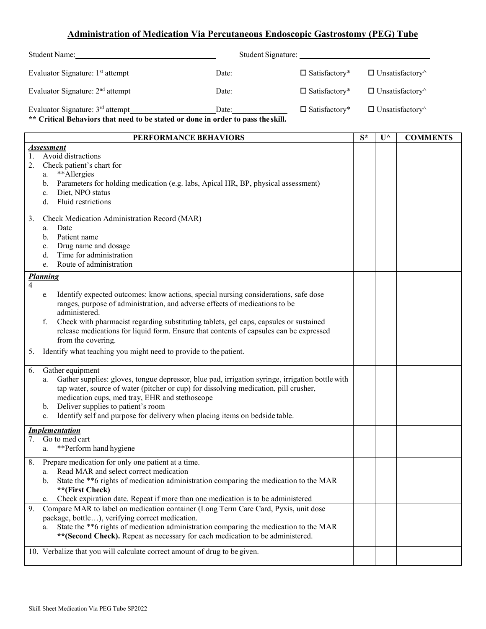## **Administration of Medication Via Percutaneous Endoscopic Gastrostomy (PEG) Tube**

| Student Name:                                                                                                                    |       | Student Signature:      |                               |
|----------------------------------------------------------------------------------------------------------------------------------|-------|-------------------------|-------------------------------|
| Evaluator Signature: 1 <sup>st</sup> attempt                                                                                     | Date: | $\Box$ Satisfactory*    | $\Box$ Unsatisfactory $\land$ |
| Evaluator Signature: $2nd$ attempt                                                                                               | Date: | $\square$ Satisfactory* | $\Box$ Unsatisfactory $\land$ |
| Evaluator Signature: 3 <sup>rd</sup> attempt<br>** Critical Behaviors that need to be stated or done in order to pass the skill. | Date: | $\Box$ Satisfactory*    | $\Box$ Unsatisfactory         |

**PERFORMANCE BEHAVIORS**  $\begin{bmatrix} S^* & V^{\wedge} \end{bmatrix}$  COMMENTS *Assessment* 1. Avoid distractions 2. Check patient's chart for a. \*\*Allergies b. Parameters for holding medication (e.g. labs, Apical HR, BP, physical assessment) c. Diet, NPO status d. Fluid restrictions 3. Check Medication Administration Record (MAR) a. Date b. Patient name c. Drug name and dosage d. Time for administration e. Route of administration *Planning* 4 e. Identify expected outcomes: know actions, special nursing considerations, safe dose ranges, purpose of administration, and adverse effects of medications to be administered. f. Check with pharmacist regarding substituting tablets, gel caps, capsules or sustained release medications for liquid form. Ensure that contents of capsules can be expressed from the covering. 5. Identify what teaching you might need to provide to the patient. 6. Gather equipment a. Gather supplies: gloves, tongue depressor, blue pad, irrigation syringe, irrigation bottle with tap water, source of water (pitcher or cup) for dissolving medication, pill crusher, medication cups, med tray, EHR and stethoscope b. Deliver supplies to patient's room c. Identify self and purpose for delivery when placing items on bedside table. *Implementation* 7. Go to med cart a. \*\*Perform hand hygiene 8. Prepare medication for only one patient at a time. a. Read MAR and select correct medication b. State the \*\*6 rights of medication administration comparing the medication to the MAR **\*\*(First Check)** c. Check expiration date. Repeat if more than one medication is to be administered 9. Compare MAR to label on medication container (Long Term Care Card, Pyxis, unit dose package, bottle…), verifying correct medication. a. State the \*\*6 rights of medication administration comparing the medication to the MAR **\*\*(Second Check).** Repeat as necessary for each medication to be administered. 10. Verbalize that you will calculate correct amount of drug to be given.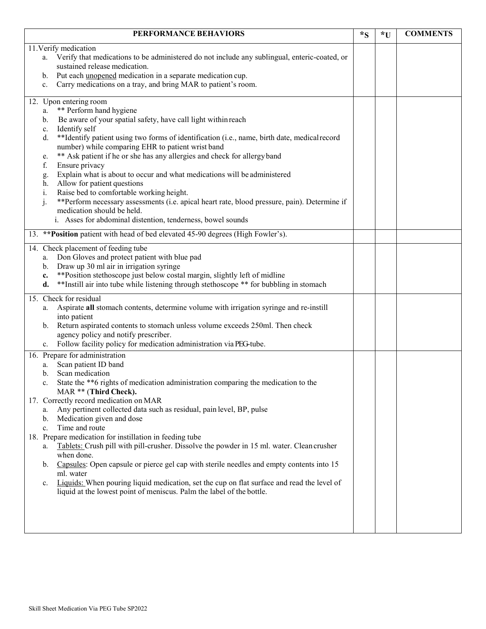| PERFORMANCE BEHAVIORS                                                                                                                                                                                                                                                                                                                                                                                                                                                                                                                                                                                                                                                                                                                                                                                                                                                | $*_{S}$ | *U | <b>COMMENTS</b> |
|----------------------------------------------------------------------------------------------------------------------------------------------------------------------------------------------------------------------------------------------------------------------------------------------------------------------------------------------------------------------------------------------------------------------------------------------------------------------------------------------------------------------------------------------------------------------------------------------------------------------------------------------------------------------------------------------------------------------------------------------------------------------------------------------------------------------------------------------------------------------|---------|----|-----------------|
| 11. Verify medication<br>Verify that medications to be administered do not include any sublingual, enteric-coated, or<br>a.<br>sustained release medication.<br>Put each unopened medication in a separate medication cup.<br>b.<br>Carry medications on a tray, and bring MAR to patient's room.<br>c.                                                                                                                                                                                                                                                                                                                                                                                                                                                                                                                                                              |         |    |                 |
| 12. Upon entering room<br>** Perform hand hygiene<br>a.<br>Be aware of your spatial safety, have call light within reach<br>b.<br>Identify self<br>c.<br>**Identify patient using two forms of identification (i.e., name, birth date, medical record<br>d.<br>number) while comparing EHR to patient wrist band<br>** Ask patient if he or she has any allergies and check for allergy band<br>e.<br>f.<br>Ensure privacy<br>Explain what is about to occur and what medications will be administered<br>g.<br>Allow for patient questions<br>h.<br>Raise bed to comfortable working height.<br>i.<br>j.<br>**Perform necessary assessments (i.e. apical heart rate, blood pressure, pain). Determine if<br>medication should be held.<br>i. Asses for abdominal distention, tenderness, bowel sounds                                                               |         |    |                 |
| 13. ** Position patient with head of bed elevated 45-90 degrees (High Fowler's).                                                                                                                                                                                                                                                                                                                                                                                                                                                                                                                                                                                                                                                                                                                                                                                     |         |    |                 |
| 14. Check placement of feeding tube<br>Don Gloves and protect patient with blue pad<br>a.<br>Draw up 30 ml air in irrigation syringe<br>b.<br>** Position stethoscope just below costal margin, slightly left of midline<br>c.<br>**Instill air into tube while listening through stethoscope ** for bubbling in stomach<br>d.                                                                                                                                                                                                                                                                                                                                                                                                                                                                                                                                       |         |    |                 |
| 15. Check for residual<br>Aspirate all stomach contents, determine volume with irrigation syringe and re-instill<br>a.<br>into patient<br>Return aspirated contents to stomach unless volume exceeds 250ml. Then check<br>$\mathbf{b}$ .<br>agency policy and notify prescriber.<br>Follow facility policy for medication administration via PEG-tube.<br>$c_{\cdot}$                                                                                                                                                                                                                                                                                                                                                                                                                                                                                                |         |    |                 |
| 16. Prepare for administration<br>Scan patient ID band<br>a.<br>Scan medication<br>b.<br>State the **6 rights of medication administration comparing the medication to the<br>c.<br>MAR ** (Third Check).<br>17. Correctly record medication on MAR<br>Any pertinent collected data such as residual, pain level, BP, pulse<br>a.<br>Medication given and dose<br>b.<br>Time and route<br>c.<br>18. Prepare medication for instillation in feeding tube<br>Tablets: Crush pill with pill-crusher. Dissolve the powder in 15 ml. water. Clean crusher<br>a.<br>when done.<br>Capsules: Open capsule or pierce gel cap with sterile needles and empty contents into 15<br>b.<br>ml. water<br>Liquids: When pouring liquid medication, set the cup on flat surface and read the level of<br>c.<br>liquid at the lowest point of meniscus. Palm the label of the bottle. |         |    |                 |
|                                                                                                                                                                                                                                                                                                                                                                                                                                                                                                                                                                                                                                                                                                                                                                                                                                                                      |         |    |                 |